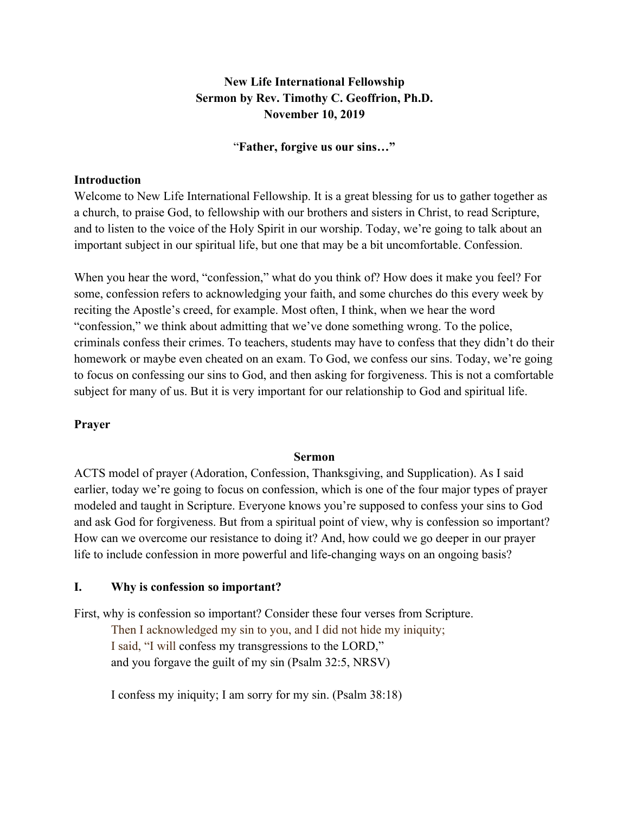# **New Life International Fellowship Sermon by Rev. Timothy C. Geoffrion, Ph.D. November 10, 2019**

#### "**Father, forgive us our sins…"**

#### **Introduction**

Welcome to New Life International Fellowship. It is a great blessing for us to gather together as a church, to praise God, to fellowship with our brothers and sisters in Christ, to read Scripture, and to listen to the voice of the Holy Spirit in our worship. Today, we're going to talk about an important subject in our spiritual life, but one that may be a bit uncomfortable. Confession.

When you hear the word, "confession," what do you think of? How does it make you feel? For some, confession refers to acknowledging your faith, and some churches do this every week by reciting the Apostle's creed, for example. Most often, I think, when we hear the word "confession," we think about admitting that we've done something wrong. To the police, criminals confess their crimes. To teachers, students may have to confess that they didn't do their homework or maybe even cheated on an exam. To God, we confess our sins. Today, we're going to focus on confessing our sins to God, and then asking for forgiveness. This is not a comfortable subject for many of us. But it is very important for our relationship to God and spiritual life.

### **Prayer**

#### **Sermon**

ACTS model of prayer (Adoration, Confession, Thanksgiving, and Supplication). As I said earlier, today we're going to focus on confession, which is one of the four major types of prayer modeled and taught in Scripture. Everyone knows you're supposed to confess your sins to God and ask God for forgiveness. But from a spiritual point of view, why is confession so important? How can we overcome our resistance to doing it? And, how could we go deeper in our prayer life to include confession in more powerful and life-changing ways on an ongoing basis?

### **I. Why is confession so important?**

First, why is confession so important? Consider these four verses from Scripture. Then I acknowledged my sin to you, and I did not hide my iniquity; I said, "I will confess my transgressions to the LORD," and you forgave the guilt of my sin (Psalm 32:5, NRSV)

I confess my iniquity; I am sorry for my sin. (Psalm 38:18)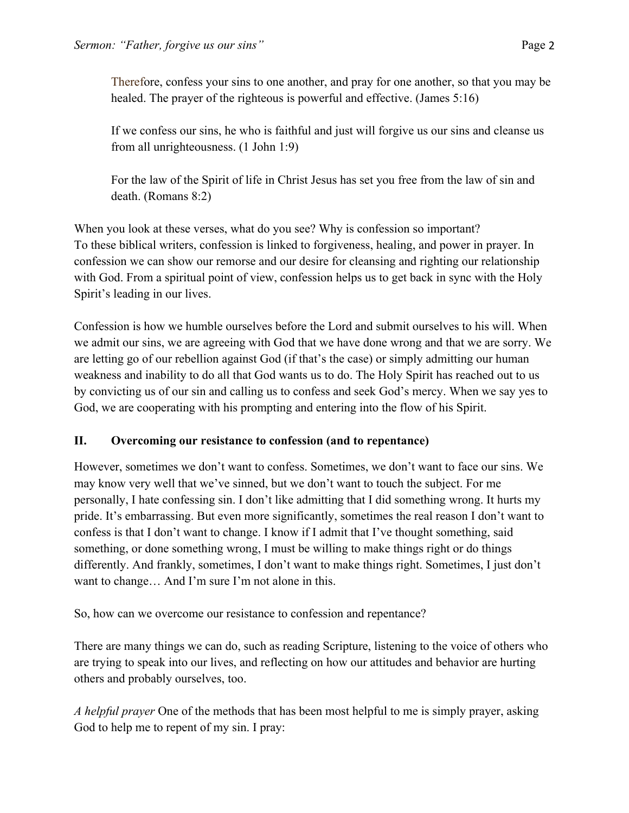Therefore, confess your sins to one another, and pray for one another, so that you may be healed. The prayer of the righteous is powerful and effective. (James 5:16)

If we confess our sins, he who is faithful and just will forgive us our sins and cleanse us from all unrighteousness. (1 John 1:9)

For the law of the Spirit of life in Christ Jesus has set you free from the law of sin and death. (Romans 8:2)

When you look at these verses, what do you see? Why is confession so important? To these biblical writers, confession is linked to forgiveness, healing, and power in prayer. In confession we can show our remorse and our desire for cleansing and righting our relationship with God. From a spiritual point of view, confession helps us to get back in sync with the Holy Spirit's leading in our lives.

Confession is how we humble ourselves before the Lord and submit ourselves to his will. When we admit our sins, we are agreeing with God that we have done wrong and that we are sorry. We are letting go of our rebellion against God (if that's the case) or simply admitting our human weakness and inability to do all that God wants us to do. The Holy Spirit has reached out to us by convicting us of our sin and calling us to confess and seek God's mercy. When we say yes to God, we are cooperating with his prompting and entering into the flow of his Spirit.

# **II. Overcoming our resistance to confession (and to repentance)**

However, sometimes we don't want to confess. Sometimes, we don't want to face our sins. We may know very well that we've sinned, but we don't want to touch the subject. For me personally, I hate confessing sin. I don't like admitting that I did something wrong. It hurts my pride. It's embarrassing. But even more significantly, sometimes the real reason I don't want to confess is that I don't want to change. I know if I admit that I've thought something, said something, or done something wrong, I must be willing to make things right or do things differently. And frankly, sometimes, I don't want to make things right. Sometimes, I just don't want to change… And I'm sure I'm not alone in this.

So, how can we overcome our resistance to confession and repentance?

There are many things we can do, such as reading Scripture, listening to the voice of others who are trying to speak into our lives, and reflecting on how our attitudes and behavior are hurting others and probably ourselves, too.

*A helpful prayer* One of the methods that has been most helpful to me is simply prayer, asking God to help me to repent of my sin. I pray: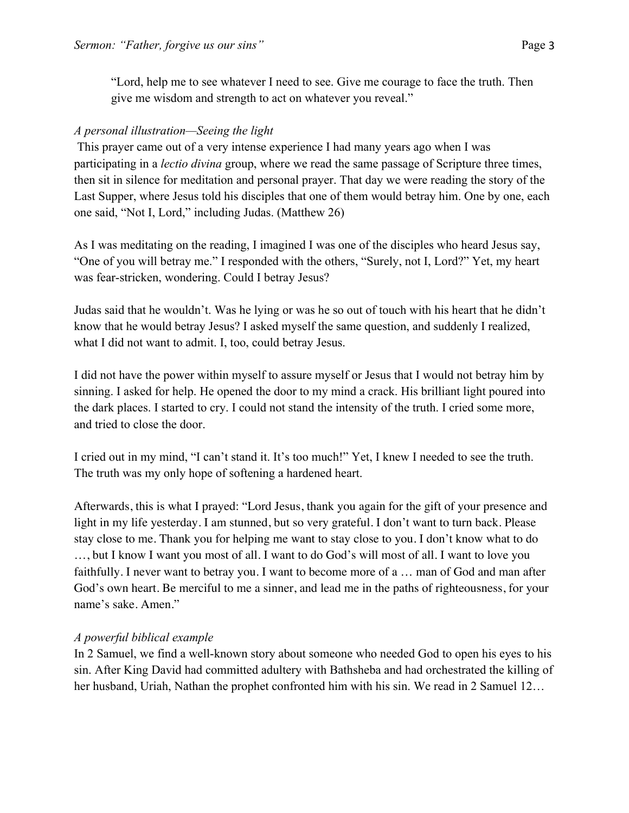"Lord, help me to see whatever I need to see. Give me courage to face the truth. Then give me wisdom and strength to act on whatever you reveal."

### *A personal illustration—Seeing the light*

This prayer came out of a very intense experience I had many years ago when I was participating in a *lectio divina* group, where we read the same passage of Scripture three times, then sit in silence for meditation and personal prayer. That day we were reading the story of the Last Supper, where Jesus told his disciples that one of them would betray him. One by one, each one said, "Not I, Lord," including Judas. (Matthew 26)

As I was meditating on the reading, I imagined I was one of the disciples who heard Jesus say, "One of you will betray me." I responded with the others, "Surely, not I, Lord?" Yet, my heart was fear-stricken, wondering. Could I betray Jesus?

Judas said that he wouldn't. Was he lying or was he so out of touch with his heart that he didn't know that he would betray Jesus? I asked myself the same question, and suddenly I realized, what I did not want to admit. I, too, could betray Jesus.

I did not have the power within myself to assure myself or Jesus that I would not betray him by sinning. I asked for help. He opened the door to my mind a crack. His brilliant light poured into the dark places. I started to cry. I could not stand the intensity of the truth. I cried some more, and tried to close the door.

I cried out in my mind, "I can't stand it. It's too much!" Yet, I knew I needed to see the truth. The truth was my only hope of softening a hardened heart.

Afterwards, this is what I prayed: "Lord Jesus, thank you again for the gift of your presence and light in my life yesterday. I am stunned, but so very grateful. I don't want to turn back. Please stay close to me. Thank you for helping me want to stay close to you. I don't know what to do …, but I know I want you most of all. I want to do God's will most of all. I want to love you faithfully. I never want to betray you. I want to become more of a … man of God and man after God's own heart. Be merciful to me a sinner, and lead me in the paths of righteousness, for your name's sake. Amen."

### *A powerful biblical example*

In 2 Samuel, we find a well-known story about someone who needed God to open his eyes to his sin. After King David had committed adultery with Bathsheba and had orchestrated the killing of her husband, Uriah, Nathan the prophet confronted him with his sin. We read in 2 Samuel 12…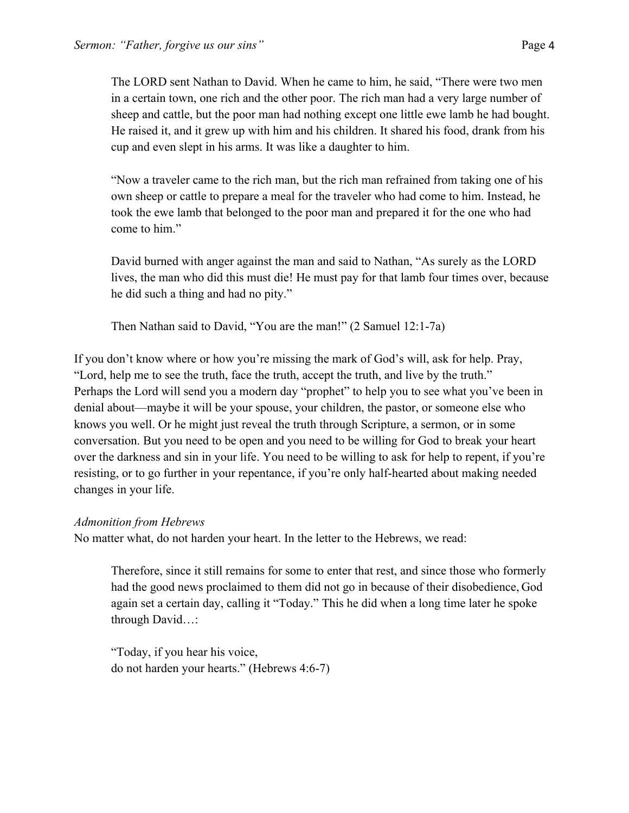The LORD sent Nathan to David. When he came to him, he said, "There were two men in a certain town, one rich and the other poor. The rich man had a very large number of sheep and cattle, but the poor man had nothing except one little ewe lamb he had bought. He raised it, and it grew up with him and his children. It shared his food, drank from his cup and even slept in his arms. It was like a daughter to him.

"Now a traveler came to the rich man, but the rich man refrained from taking one of his own sheep or cattle to prepare a meal for the traveler who had come to him. Instead, he took the ewe lamb that belonged to the poor man and prepared it for the one who had come to him."

David burned with anger against the man and said to Nathan, "As surely as the LORD lives, the man who did this must die! He must pay for that lamb four times over, because he did such a thing and had no pity."

Then Nathan said to David, "You are the man!" (2 Samuel 12:1-7a)

If you don't know where or how you're missing the mark of God's will, ask for help. Pray, "Lord, help me to see the truth, face the truth, accept the truth, and live by the truth." Perhaps the Lord will send you a modern day "prophet" to help you to see what you've been in denial about—maybe it will be your spouse, your children, the pastor, or someone else who knows you well. Or he might just reveal the truth through Scripture, a sermon, or in some conversation. But you need to be open and you need to be willing for God to break your heart over the darkness and sin in your life. You need to be willing to ask for help to repent, if you're resisting, or to go further in your repentance, if you're only half-hearted about making needed changes in your life.

#### *Admonition from Hebrews*

No matter what, do not harden your heart. In the letter to the Hebrews, we read:

Therefore, since it still remains for some to enter that rest, and since those who formerly had the good news proclaimed to them did not go in because of their disobedience, God again set a certain day, calling it "Today." This he did when a long time later he spoke through David…:

"Today, if you hear his voice, do not harden your hearts." (Hebrews 4:6-7)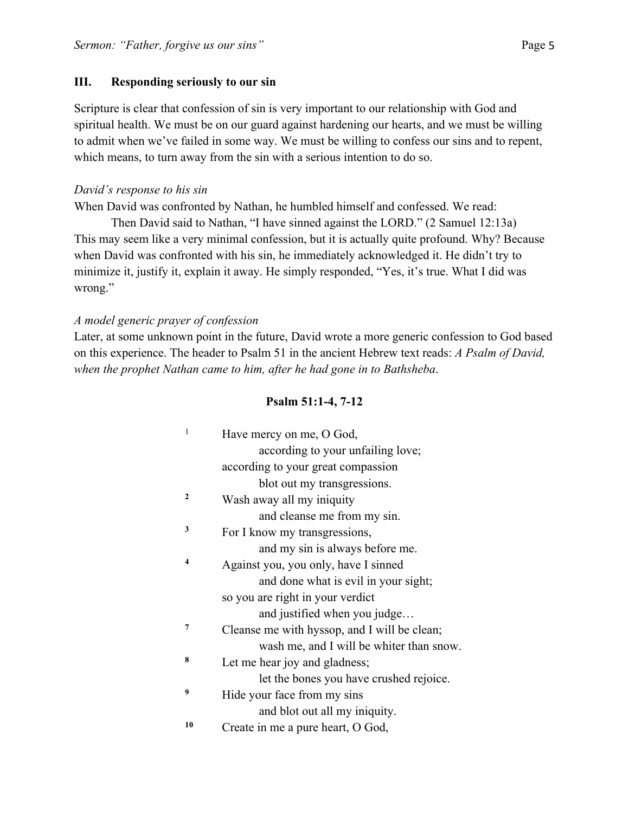### **III. Responding seriously to our sin**

Scripture is clear that confession of sin is very important to our relationship with God and spiritual health. We must be on our guard against hardening our hearts, and we must be willing to admit when we've failed in some way. We must be willing to confess our sins and to repent, which means, to turn away from the sin with a serious intention to do so.

### *David's response to his sin*

When David was confronted by Nathan, he humbled himself and confessed. We read:

Then David said to Nathan, "I have sinned against the LORD." (2 Samuel 12:13a) This may seem like a very minimal confession, but it is actually quite profound. Why? Because when David was confronted with his sin, he immediately acknowledged it. He didn't try to minimize it, justify it, explain it away. He simply responded, "Yes, it's true. What I did was wrong."

## *A model generic prayer of confession*

Later, at some unknown point in the future, David wrote a more generic confession to God based on this experience. The header to Psalm 51 in the ancient Hebrew text reads: *A Psalm of David, when the prophet Nathan came to him, after he had gone in to Bathsheba*.

## **Psalm 51:1-4, 7-12**

| 1            | Have mercy on me, O God,                     |
|--------------|----------------------------------------------|
|              | according to your unfailing love;            |
|              | according to your great compassion           |
|              | blot out my transgressions.                  |
| $\mathbf{2}$ | Wash away all my iniquity                    |
|              | and cleanse me from my sin.                  |
| 3            | For I know my transgressions,                |
|              | and my sin is always before me.              |
| 4            | Against you, you only, have I sinned         |
|              | and done what is evil in your sight;         |
|              | so you are right in your verdict             |
|              | and justified when you judge                 |
| 7            | Cleanse me with hyssop, and I will be clean; |
|              | wash me, and I will be whiter than snow.     |
| 8            | Let me hear joy and gladness;                |
|              | let the bones you have crushed rejoice.      |
| 9            | Hide your face from my sins                  |
|              | and blot out all my iniquity.                |
| 10           | Create in me a pure heart, O God,            |